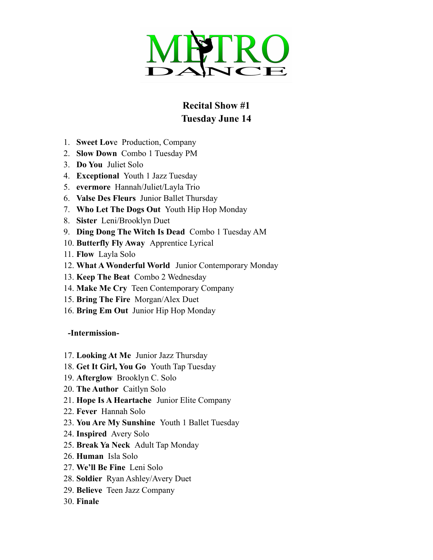

## **Recital Show #1 Tuesday June 14**

- 1. **Sweet Lov**e Production, Company
- 2. **Slow Down** Combo 1 Tuesday PM
- 3. **Do You** Juliet Solo
- 4. **Exceptional** Youth 1 Jazz Tuesday
- 5. **evermore** Hannah/Juliet/Layla Trio
- 6. **Valse Des Fleurs** Junior Ballet Thursday
- 7. **Who Let The Dogs Out** Youth Hip Hop Monday
- 8. **Sister** Leni/Brooklyn Duet
- 9. **Ding Dong The Witch Is Dead** Combo 1 Tuesday AM
- 10. **Butterfly Fly Away** Apprentice Lyrical
- 11. **Flow** Layla Solo
- 12. **What A Wonderful World** Junior Contemporary Monday
- 13. **Keep The Beat** Combo 2 Wednesday
- 14. **Make Me Cry** Teen Contemporary Company
- 15. **Bring The Fire** Morgan/Alex Duet
- 16. **Bring Em Out** Junior Hip Hop Monday

**-Intermission-**

- 17. **Looking At Me** Junior Jazz Thursday
- 18. **Get It Girl, You Go** Youth Tap Tuesday
- 19. **Afterglow** Brooklyn C. Solo
- 20. **The Author** Caitlyn Solo
- 21. **Hope Is A Heartache** Junior Elite Company
- 22. **Fever** Hannah Solo
- 23. **You Are My Sunshine** Youth 1 Ballet Tuesday
- 24. **Inspired** Avery Solo
- 25. **Break Ya Neck** Adult Tap Monday
- 26. **Human** Isla Solo
- 27. **We'll Be Fine** Leni Solo
- 28. **Soldier** Ryan Ashley/Avery Duet
- 29. **Believe** Teen Jazz Company
- 30. **Finale**